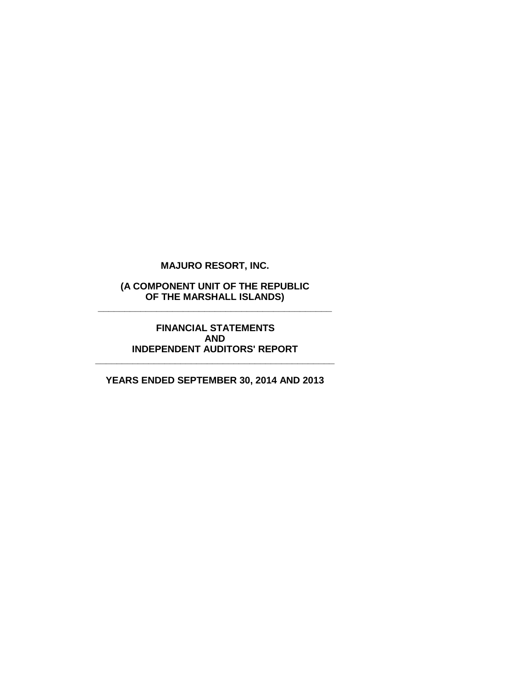**(A COMPONENT UNIT OF THE REPUBLIC OF THE MARSHALL ISLANDS) \_\_\_\_\_\_\_\_\_\_\_\_\_\_\_\_\_\_\_\_\_\_\_\_\_\_\_\_\_\_\_\_\_\_\_\_\_\_\_\_\_\_\_\_**

> **FINANCIAL STATEMENTS AND INDEPENDENT AUDITORS' REPORT**

**YEARS ENDED SEPTEMBER 30, 2014 AND 2013**

**\_\_\_\_\_\_\_\_\_\_\_\_\_\_\_\_\_\_\_\_\_\_\_\_\_\_\_\_\_\_\_\_\_\_\_\_\_\_\_\_\_\_\_\_\_**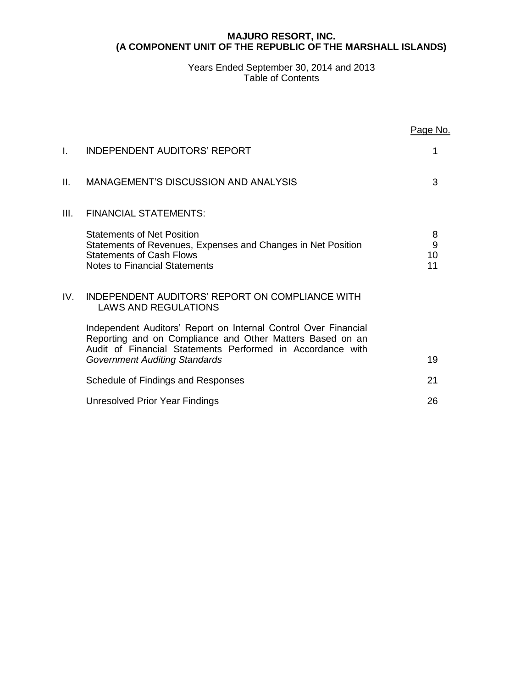## **MAJURO RESORT, INC. (A COMPONENT UNIT OF THE REPUBLIC OF THE MARSHALL ISLANDS)**

# Years Ended September 30, 2014 and 2013 Table of Contents

|      |                                                                                                                                                                                                                                    | Page No.           |
|------|------------------------------------------------------------------------------------------------------------------------------------------------------------------------------------------------------------------------------------|--------------------|
| L.   | <b>INDEPENDENT AUDITORS' REPORT</b>                                                                                                                                                                                                | 1                  |
| Ш.   | MANAGEMENT'S DISCUSSION AND ANALYSIS                                                                                                                                                                                               | 3                  |
| III. | <b>FINANCIAL STATEMENTS:</b>                                                                                                                                                                                                       |                    |
|      | <b>Statements of Net Position</b><br>Statements of Revenues, Expenses and Changes in Net Position<br><b>Statements of Cash Flows</b><br><b>Notes to Financial Statements</b>                                                       | 8<br>9<br>10<br>11 |
| IV.  | INDEPENDENT AUDITORS' REPORT ON COMPLIANCE WITH<br><b>LAWS AND REGULATIONS</b>                                                                                                                                                     |                    |
|      | Independent Auditors' Report on Internal Control Over Financial<br>Reporting and on Compliance and Other Matters Based on an<br>Audit of Financial Statements Performed in Accordance with<br><b>Government Auditing Standards</b> | 19                 |
|      | Schedule of Findings and Responses                                                                                                                                                                                                 | 21                 |
|      | Unresolved Prior Year Findings                                                                                                                                                                                                     | 26                 |
|      |                                                                                                                                                                                                                                    |                    |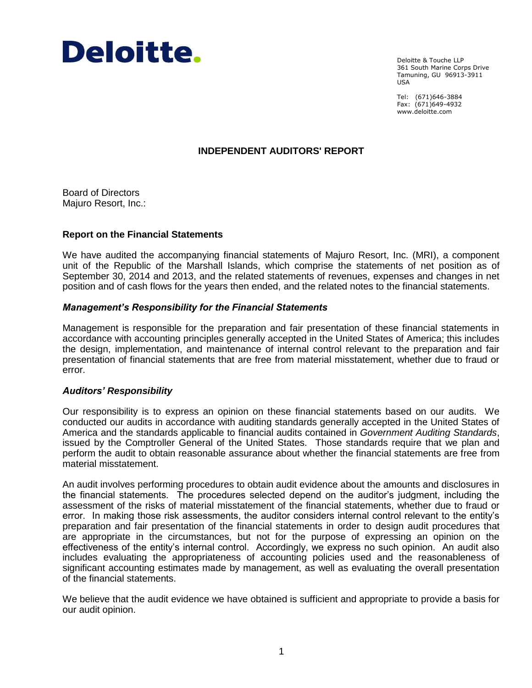

Deloitte & Touche LLP 361 South Marine Corps Drive Tamuning, GU 96913-3911 USA

Tel: (671)646-3884 Fax: (671)649-4932 www.deloitte.com

# **INDEPENDENT AUDITORS' REPORT**

Board of Directors Majuro Resort, Inc.:

### **Report on the Financial Statements**

We have audited the accompanying financial statements of Majuro Resort, Inc. (MRI), a component unit of the Republic of the Marshall Islands, which comprise the statements of net position as of September 30, 2014 and 2013, and the related statements of revenues, expenses and changes in net position and of cash flows for the years then ended, and the related notes to the financial statements.

### *Management's Responsibility for the Financial Statements*

Management is responsible for the preparation and fair presentation of these financial statements in accordance with accounting principles generally accepted in the United States of America; this includes the design, implementation, and maintenance of internal control relevant to the preparation and fair presentation of financial statements that are free from material misstatement, whether due to fraud or error.

### *Auditors' Responsibility*

Our responsibility is to express an opinion on these financial statements based on our audits. We conducted our audits in accordance with auditing standards generally accepted in the United States of America and the standards applicable to financial audits contained in *Government Auditing Standards*, issued by the Comptroller General of the United States. Those standards require that we plan and perform the audit to obtain reasonable assurance about whether the financial statements are free from material misstatement.

An audit involves performing procedures to obtain audit evidence about the amounts and disclosures in the financial statements. The procedures selected depend on the auditor's judgment, including the assessment of the risks of material misstatement of the financial statements, whether due to fraud or error. In making those risk assessments, the auditor considers internal control relevant to the entity's preparation and fair presentation of the financial statements in order to design audit procedures that are appropriate in the circumstances, but not for the purpose of expressing an opinion on the effectiveness of the entity's internal control. Accordingly, we express no such opinion. An audit also includes evaluating the appropriateness of accounting policies used and the reasonableness of significant accounting estimates made by management, as well as evaluating the overall presentation of the financial statements.

We believe that the audit evidence we have obtained is sufficient and appropriate to provide a basis for our audit opinion.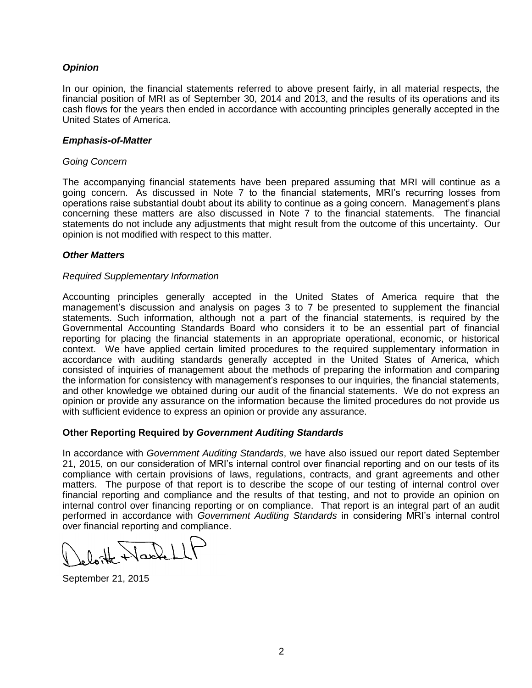# *Opinion*

In our opinion, the financial statements referred to above present fairly, in all material respects, the financial position of MRI as of September 30, 2014 and 2013, and the results of its operations and its cash flows for the years then ended in accordance with accounting principles generally accepted in the United States of America.

### *Emphasis-of-Matter*

### *Going Concern*

The accompanying financial statements have been prepared assuming that MRI will continue as a going concern. As discussed in Note 7 to the financial statements, MRI's recurring losses from operations raise substantial doubt about its ability to continue as a going concern. Management's plans concerning these matters are also discussed in Note 7 to the financial statements. The financial statements do not include any adjustments that might result from the outcome of this uncertainty. Our opinion is not modified with respect to this matter.

# *Other Matters*

### *Required Supplementary Information*

Accounting principles generally accepted in the United States of America require that the management's discussion and analysis on pages 3 to 7 be presented to supplement the financial statements. Such information, although not a part of the financial statements, is required by the Governmental Accounting Standards Board who considers it to be an essential part of financial reporting for placing the financial statements in an appropriate operational, economic, or historical context. We have applied certain limited procedures to the required supplementary information in accordance with auditing standards generally accepted in the United States of America, which consisted of inquiries of management about the methods of preparing the information and comparing the information for consistency with management's responses to our inquiries, the financial statements, and other knowledge we obtained during our audit of the financial statements. We do not express an opinion or provide any assurance on the information because the limited procedures do not provide us with sufficient evidence to express an opinion or provide any assurance.

# **Other Reporting Required by** *Government Auditing Standards*

In accordance with *Government Auditing Standards*, we have also issued our report dated September 21, 2015, on our consideration of MRI's internal control over financial reporting and on our tests of its compliance with certain provisions of laws, regulations, contracts, and grant agreements and other matters. The purpose of that report is to describe the scope of our testing of internal control over financial reporting and compliance and the results of that testing, and not to provide an opinion on internal control over financing reporting or on compliance. That report is an integral part of an audit performed in accordance with *Government Auditing Standards* in considering MRI's internal control over financial reporting and compliance.

September 21, 2015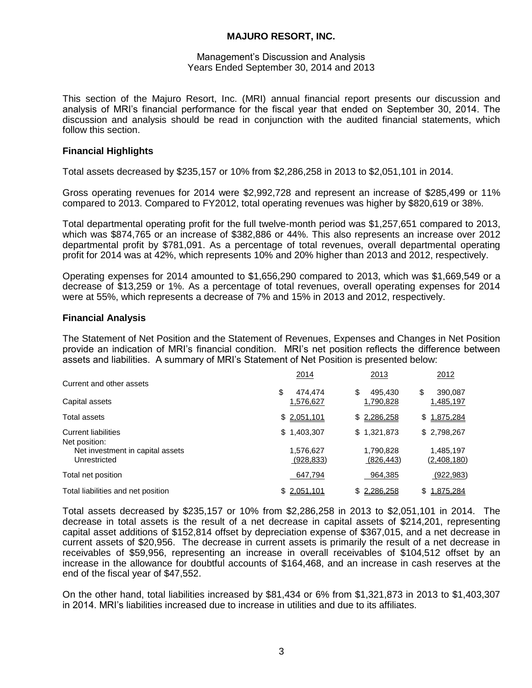### Management's Discussion and Analysis Years Ended September 30, 2014 and 2013

This section of the Majuro Resort, Inc. (MRI) annual financial report presents our discussion and analysis of MRI's financial performance for the fiscal year that ended on September 30, 2014. The discussion and analysis should be read in conjunction with the audited financial statements, which follow this section.

# **Financial Highlights**

Total assets decreased by \$235,157 or 10% from \$2,286,258 in 2013 to \$2,051,101 in 2014.

Gross operating revenues for 2014 were \$2,992,728 and represent an increase of \$285,499 or 11% compared to 2013. Compared to FY2012, total operating revenues was higher by \$820,619 or 38%.

Total departmental operating profit for the full twelve-month period was \$1,257,651 compared to 2013, which was \$874,765 or an increase of \$382,886 or 44%. This also represents an increase over 2012 departmental profit by \$781,091. As a percentage of total revenues, overall departmental operating profit for 2014 was at 42%, which represents 10% and 20% higher than 2013 and 2012, respectively.

Operating expenses for 2014 amounted to \$1,656,290 compared to 2013, which was \$1,669,549 or a decrease of \$13,259 or 1%. As a percentage of total revenues, overall operating expenses for 2014 were at 55%, which represents a decrease of 7% and 15% in 2013 and 2012, respectively.

### **Financial Analysis**

The Statement of Net Position and the Statement of Revenues, Expenses and Changes in Net Position provide an indication of MRI's financial condition. MRI's net position reflects the difference between assets and liabilities. A summary of MRI's Statement of Net Position is presented below:

|                                                  | 2014                    | 2013                    | 2012                     |
|--------------------------------------------------|-------------------------|-------------------------|--------------------------|
| Current and other assets                         | \$<br>474.474           | \$<br>495,430           | \$<br>390,087            |
| Capital assets                                   | 1,576,627               | 1,790,828               | 1,485,197                |
| Total assets                                     | \$2,051,101             | \$2,286,258             | \$1,875,284              |
| <b>Current liabilities</b><br>Net position:      | 1,403,307<br>\$.        | \$1,321,873             | \$2,798,267              |
| Net investment in capital assets<br>Unrestricted | 1,576,627<br>(928, 833) | 1,790,828<br>(826, 443) | 1,485,197<br>(2,408,180) |
| Total net position                               | 647,794                 | 964,385                 | (922, 983)               |
| Total liabilities and net position               | 2,051,101<br>\$         | \$2,286,258             | 1,875,284<br>\$          |

Total assets decreased by \$235,157 or 10% from \$2,286,258 in 2013 to \$2,051,101 in 2014. The decrease in total assets is the result of a net decrease in capital assets of \$214,201, representing capital asset additions of \$152,814 offset by depreciation expense of \$367,015, and a net decrease in current assets of \$20,956. The decrease in current assets is primarily the result of a net decrease in receivables of \$59,956, representing an increase in overall receivables of \$104,512 offset by an increase in the allowance for doubtful accounts of \$164,468, and an increase in cash reserves at the end of the fiscal year of \$47,552.

On the other hand, total liabilities increased by \$81,434 or 6% from \$1,321,873 in 2013 to \$1,403,307 in 2014. MRI's liabilities increased due to increase in utilities and due to its affiliates.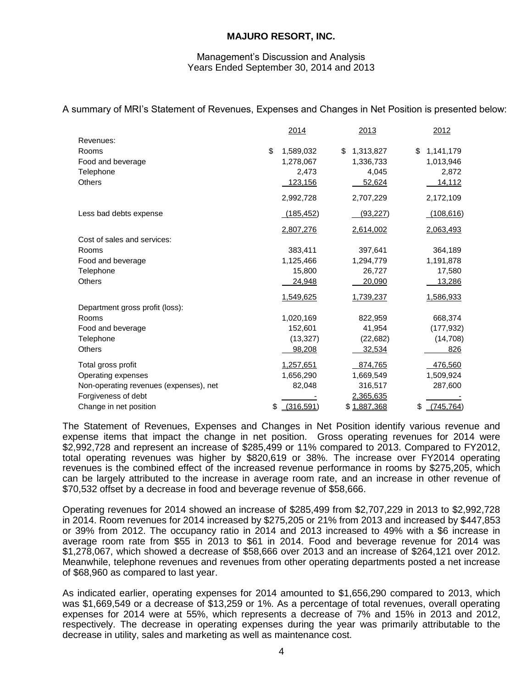### Management's Discussion and Analysis Years Ended September 30, 2014 and 2013

A summary of MRI's Statement of Revenues, Expenses and Changes in Net Position is presented below:

|                                        | 2014            | 2013            | 2012             |
|----------------------------------------|-----------------|-----------------|------------------|
| Revenues:                              |                 |                 |                  |
| Rooms                                  | \$<br>1,589,032 | 1,313,827<br>\$ | \$<br>1,141,179  |
| Food and beverage                      | 1,278,067       | 1,336,733       | 1,013,946        |
| Telephone                              | 2,473           | 4,045           | 2,872            |
| <b>Others</b>                          | 123,156         | 52,624          | 14,112           |
|                                        | 2,992,728       | 2,707,229       | 2,172,109        |
| Less bad debts expense                 | (185, 452)      | (93, 227)       | (108, 616)       |
|                                        | 2,807,276       | 2,614,002       | 2,063,493        |
| Cost of sales and services:            |                 |                 |                  |
| Rooms                                  | 383,411         | 397,641         | 364,189          |
| Food and beverage                      | 1,125,466       | 1,294,779       | 1,191,878        |
| Telephone                              | 15,800          | 26,727          | 17,580           |
| Others                                 | 24,948          | 20,090          | 13,286           |
|                                        | 1,549,625       | 1,739,237       | 1,586,933        |
| Department gross profit (loss):        |                 |                 |                  |
| Rooms                                  | 1,020,169       | 822,959         | 668,374          |
| Food and beverage                      | 152,601         | 41,954          | (177, 932)       |
| Telephone                              | (13, 327)       | (22, 682)       | (14, 708)        |
| <b>Others</b>                          | 98,208          | 32,534          | 826              |
| Total gross profit                     | 1,257,651       | 874,765         | 476,560          |
| Operating expenses                     | 1,656,290       | 1,669,549       | 1,509,924        |
| Non-operating revenues (expenses), net | 82,048          | 316,517         | 287,600          |
| Forgiveness of debt                    |                 | 2,365,635       |                  |
| Change in net position                 | \$<br>(316,591) | \$1,887,368     | \$<br>(745, 764) |

The Statement of Revenues, Expenses and Changes in Net Position identify various revenue and expense items that impact the change in net position. Gross operating revenues for 2014 were \$2,992,728 and represent an increase of \$285,499 or 11% compared to 2013. Compared to FY2012, total operating revenues was higher by \$820,619 or 38%. The increase over FY2014 operating revenues is the combined effect of the increased revenue performance in rooms by \$275,205, which can be largely attributed to the increase in average room rate, and an increase in other revenue of \$70,532 offset by a decrease in food and beverage revenue of \$58,666.

Operating revenues for 2014 showed an increase of \$285,499 from \$2,707,229 in 2013 to \$2,992,728 in 2014. Room revenues for 2014 increased by \$275,205 or 21% from 2013 and increased by \$447,853 or 39% from 2012. The occupancy ratio in 2014 and 2013 increased to 49% with a \$6 increase in average room rate from \$55 in 2013 to \$61 in 2014. Food and beverage revenue for 2014 was \$1,278,067, which showed a decrease of \$58,666 over 2013 and an increase of \$264,121 over 2012. Meanwhile, telephone revenues and revenues from other operating departments posted a net increase of \$68,960 as compared to last year.

As indicated earlier, operating expenses for 2014 amounted to \$1,656,290 compared to 2013, which was \$1,669,549 or a decrease of \$13,259 or 1%. As a percentage of total revenues, overall operating expenses for 2014 were at 55%, which represents a decrease of 7% and 15% in 2013 and 2012, respectively. The decrease in operating expenses during the year was primarily attributable to the decrease in utility, sales and marketing as well as maintenance cost.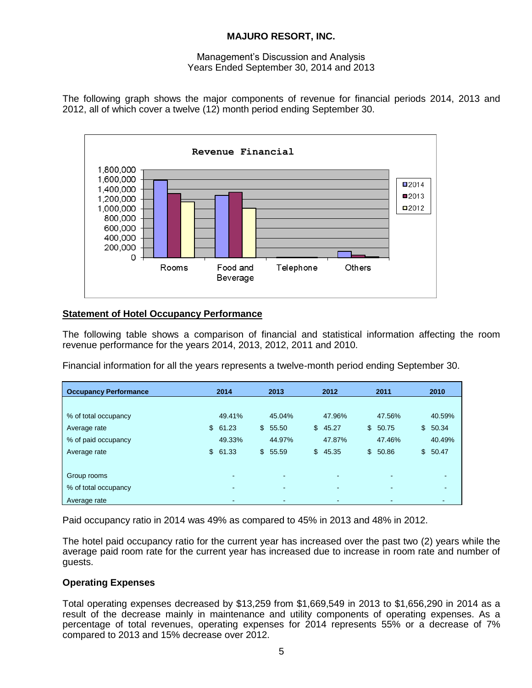## Management's Discussion and Analysis Years Ended September 30, 2014 and 2013

The following graph shows the major components of revenue for financial periods 2014, 2013 and 2012, all of which cover a twelve (12) month period ending September 30.



# **Statement of Hotel Occupancy Performance**

The following table shows a comparison of financial and statistical information affecting the room revenue performance for the years 2014, 2013, 2012, 2011 and 2010.

Financial information for all the years represents a twelve-month period ending September 30.

| <b>Occupancy Performance</b> | 2014        | 2013                     |              | 2012   |              | 2011                     | 2010        |
|------------------------------|-------------|--------------------------|--------------|--------|--------------|--------------------------|-------------|
|                              |             |                          |              |        |              |                          |             |
| % of total occupancy         | 49.41%      | 45.04%                   |              | 47.96% |              | 47.56%                   | 40.59%      |
| Average rate                 | \$<br>61.23 | \$<br>55.50              | $\mathbb{S}$ | 45.27  | $\mathbb{S}$ | 50.75                    | \$<br>50.34 |
| % of paid occupancy          | 49.33%      | 44.97%                   |              | 47.87% |              | 47.46%                   | 40.49%      |
| Average rate                 | \$<br>61.33 | \$55.59                  | $\mathbb{S}$ | 45.35  |              | \$50.86                  | \$50.47     |
|                              |             |                          |              |        |              |                          |             |
| Group rooms                  | -           | $\overline{\phantom{0}}$ |              |        |              |                          |             |
| % of total occupancy         | $\,$        | $\overline{\phantom{0}}$ |              |        |              | $\overline{\phantom{0}}$ |             |
| Average rate                 | $\,$        | $\overline{\phantom{0}}$ |              |        |              |                          |             |

Paid occupancy ratio in 2014 was 49% as compared to 45% in 2013 and 48% in 2012.

The hotel paid occupancy ratio for the current year has increased over the past two (2) years while the average paid room rate for the current year has increased due to increase in room rate and number of guests.

# **Operating Expenses**

Total operating expenses decreased by \$13,259 from \$1,669,549 in 2013 to \$1,656,290 in 2014 as a result of the decrease mainly in maintenance and utility components of operating expenses. As a percentage of total revenues, operating expenses for 2014 represents 55% or a decrease of 7% compared to 2013 and 15% decrease over 2012.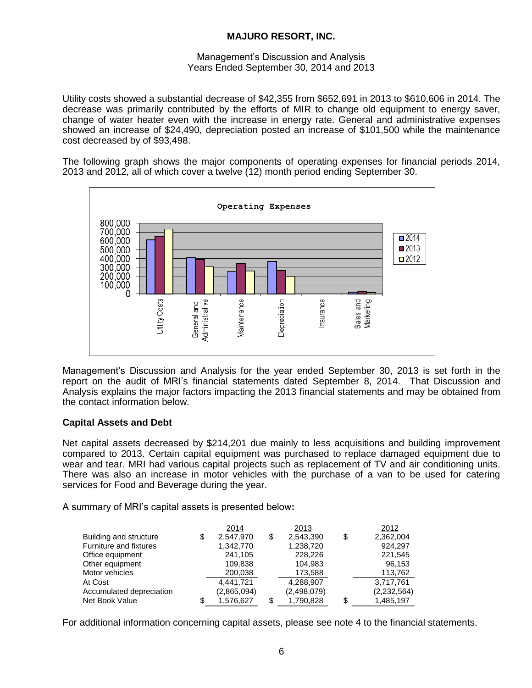### Management's Discussion and Analysis Years Ended September 30, 2014 and 2013

Utility costs showed a substantial decrease of \$42,355 from \$652,691 in 2013 to \$610,606 in 2014. The decrease was primarily contributed by the efforts of MIR to change old equipment to energy saver, change of water heater even with the increase in energy rate. General and administrative expenses showed an increase of \$24,490, depreciation posted an increase of \$101,500 while the maintenance cost decreased by of \$93,498.

The following graph shows the major components of operating expenses for financial periods 2014, 2013 and 2012, all of which cover a twelve (12) month period ending September 30.



Management's Discussion and Analysis for the year ended September 30, 2013 is set forth in the report on the audit of MRI's financial statements dated September 8, 2014. That Discussion and Analysis explains the major factors impacting the 2013 financial statements and may be obtained from the contact information below.

# **Capital Assets and Debt**

Net capital assets decreased by \$214,201 due mainly to less acquisitions and building improvement compared to 2013. Certain capital equipment was purchased to replace damaged equipment due to wear and tear. MRI had various capital projects such as replacement of TV and air conditioning units. There was also an increase in motor vehicles with the purchase of a van to be used for catering services for Food and Beverage during the year.

A summary of MRI's capital assets is presented below**:**

|                          | 2014            | 2013            |     | 2012        |
|--------------------------|-----------------|-----------------|-----|-------------|
| Building and structure   | \$<br>2.547.970 | \$<br>2.543.390 | \$  | 2,362,004   |
| Furniture and fixtures   | 1,342,770       | 1,238,720       |     | 924,297     |
| Office equipment         | 241.105         | 228.226         |     | 221,545     |
| Other equipment          | 109.838         | 104.983         |     | 96,153      |
| Motor vehicles           | 200,038         | 173,588         |     | 113,762     |
| At Cost                  | 4.441.721       | 4,288,907       |     | 3,717,761   |
| Accumulated depreciation | (2,865,094)     | (2,498,079)     |     | (2,232,564) |
| Net Book Value           | 1,576,627       | \$<br>1,790,828 | \$. | 1,485,197   |

For additional information concerning capital assets, please see note 4 to the financial statements.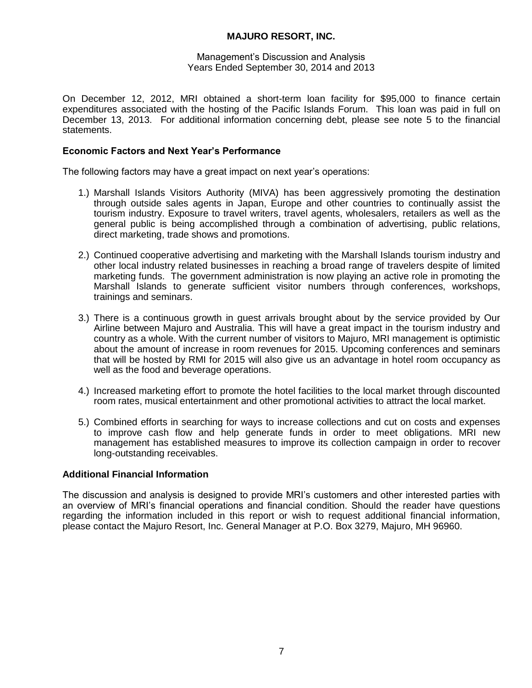### Management's Discussion and Analysis Years Ended September 30, 2014 and 2013

On December 12, 2012, MRI obtained a short-term loan facility for \$95,000 to finance certain expenditures associated with the hosting of the Pacific Islands Forum. This loan was paid in full on December 13, 2013. For additional information concerning debt, please see note 5 to the financial statements.

# **Economic Factors and Next Year's Performance**

The following factors may have a great impact on next year's operations:

- 1.) Marshall Islands Visitors Authority (MIVA) has been aggressively promoting the destination through outside sales agents in Japan, Europe and other countries to continually assist the tourism industry. Exposure to travel writers, travel agents, wholesalers, retailers as well as the general public is being accomplished through a combination of advertising, public relations, direct marketing, trade shows and promotions.
- 2.) Continued cooperative advertising and marketing with the Marshall Islands tourism industry and other local industry related businesses in reaching a broad range of travelers despite of limited marketing funds. The government administration is now playing an active role in promoting the Marshall Islands to generate sufficient visitor numbers through conferences, workshops, trainings and seminars.
- 3.) There is a continuous growth in guest arrivals brought about by the service provided by Our Airline between Majuro and Australia. This will have a great impact in the tourism industry and country as a whole. With the current number of visitors to Majuro, MRI management is optimistic about the amount of increase in room revenues for 2015. Upcoming conferences and seminars that will be hosted by RMI for 2015 will also give us an advantage in hotel room occupancy as well as the food and beverage operations.
- 4.) Increased marketing effort to promote the hotel facilities to the local market through discounted room rates, musical entertainment and other promotional activities to attract the local market.
- 5.) Combined efforts in searching for ways to increase collections and cut on costs and expenses to improve cash flow and help generate funds in order to meet obligations. MRI new management has established measures to improve its collection campaign in order to recover long-outstanding receivables.

# **Additional Financial Information**

The discussion and analysis is designed to provide MRI's customers and other interested parties with an overview of MRI's financial operations and financial condition. Should the reader have questions regarding the information included in this report or wish to request additional financial information, please contact the Majuro Resort, Inc. General Manager at P.O. Box 3279, Majuro, MH 96960.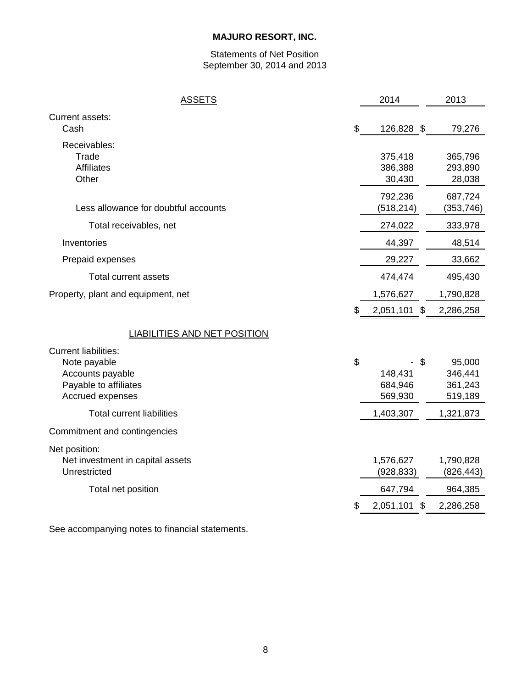# Statements of Net Position September 30, 2014 and 2013

| <b>ASSETS</b>                                                                                                | 2014                                      | 2013                                    |
|--------------------------------------------------------------------------------------------------------------|-------------------------------------------|-----------------------------------------|
| Current assets:<br>Cash                                                                                      | \$<br>126,828 \$                          | 79,276                                  |
| Receivables:<br>Trade<br><b>Affiliates</b><br>Other                                                          | 375,418<br>386,388<br>30,430              | 365,796<br>293,890<br>28,038            |
| Less allowance for doubtful accounts                                                                         | 792,236<br>(518, 214)                     | 687,724<br>(353, 746)                   |
| Total receivables, net                                                                                       | 274,022                                   | 333,978                                 |
| Inventories                                                                                                  | 44,397                                    | 48,514                                  |
| Prepaid expenses                                                                                             | 29,227                                    | 33,662                                  |
| Total current assets                                                                                         | 474,474                                   | 495,430                                 |
| Property, plant and equipment, net                                                                           | 1,576,627                                 | 1,790,828                               |
|                                                                                                              | \$<br>2,051,101 \$                        | 2,286,258                               |
| <b>LIABILITIES AND NET POSITION</b>                                                                          |                                           |                                         |
| <b>Current liabilities:</b><br>Note payable<br>Accounts payable<br>Payable to affiliates<br>Accrued expenses | \$<br>\$<br>148,431<br>684,946<br>569,930 | 95,000<br>346,441<br>361,243<br>519,189 |
| <b>Total current liabilities</b>                                                                             | 1,403,307                                 | 1,321,873                               |
| Commitment and contingencies                                                                                 |                                           |                                         |
| Net position:<br>Net investment in capital assets<br>Unrestricted                                            | 1,576,627<br>(928, 833)                   | 1,790,828<br>(826, 443)                 |
| Total net position                                                                                           | 647,794                                   | 964,385                                 |
|                                                                                                              | 2,051,101<br>\$                           | 2,286,258                               |
|                                                                                                              |                                           |                                         |

See accompanying notes to financial statements.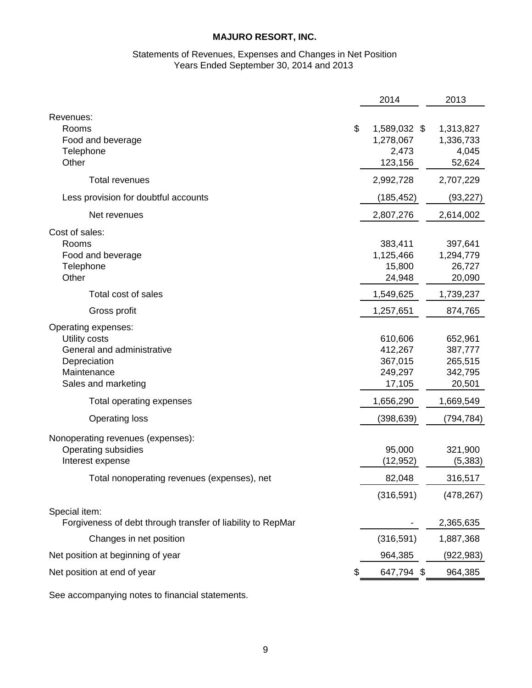### Statements of Revenues, Expenses and Changes in Net Position Years Ended September 30, 2014 and 2013

|                                                             | 2014               | 2013       |
|-------------------------------------------------------------|--------------------|------------|
| Revenues:                                                   |                    |            |
| Rooms                                                       | \$<br>1,589,032 \$ | 1,313,827  |
| Food and beverage                                           | 1,278,067          | 1,336,733  |
| Telephone<br>Other                                          | 2,473              | 4,045      |
|                                                             | 123,156            | 52,624     |
| Total revenues                                              | 2,992,728          | 2,707,229  |
| Less provision for doubtful accounts                        | (185,452)          | (93, 227)  |
| Net revenues                                                | 2,807,276          | 2,614,002  |
| Cost of sales:                                              |                    |            |
| Rooms                                                       | 383,411            | 397,641    |
| Food and beverage                                           | 1,125,466          | 1,294,779  |
| Telephone                                                   | 15,800             | 26,727     |
| Other                                                       | 24,948             | 20,090     |
| Total cost of sales                                         | 1,549,625          | 1,739,237  |
| Gross profit                                                | 1,257,651          | 874,765    |
| Operating expenses:                                         |                    |            |
| Utility costs                                               | 610,606            | 652,961    |
| General and administrative                                  | 412,267            | 387,777    |
| Depreciation                                                | 367,015            | 265,515    |
| Maintenance                                                 | 249,297            | 342,795    |
| Sales and marketing                                         | 17,105             | 20,501     |
| Total operating expenses                                    | 1,656,290          | 1,669,549  |
| <b>Operating loss</b>                                       | (398,639)          | (794, 784) |
| Nonoperating revenues (expenses):                           |                    |            |
| <b>Operating subsidies</b>                                  | 95,000             | 321,900    |
| Interest expense                                            | (12, 952)          | (5, 383)   |
| Total nonoperating revenues (expenses), net                 | 82,048             | 316,517    |
|                                                             | (316, 591)         | (478, 267) |
| Special item:                                               |                    |            |
| Forgiveness of debt through transfer of liability to RepMar |                    | 2,365,635  |
| Changes in net position                                     | (316, 591)         | 1,887,368  |
| Net position at beginning of year                           | 964,385            | (922, 983) |
| Net position at end of year                                 | 647,794 \$         | 964,385    |
|                                                             |                    |            |

See accompanying notes to financial statements.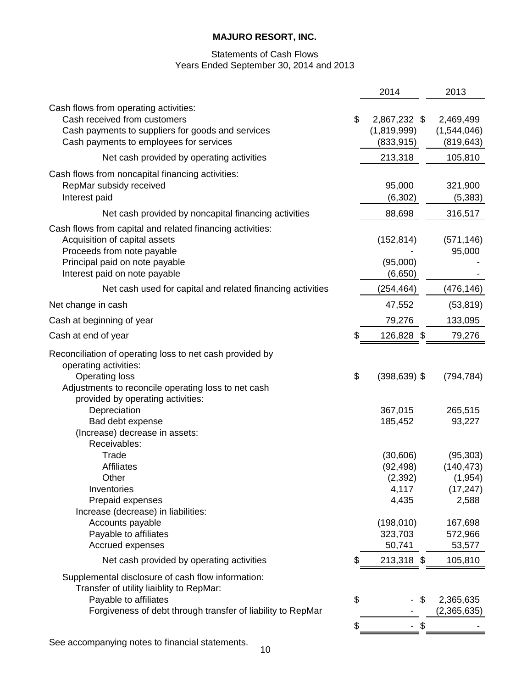# Statements of Cash Flows Years Ended September 30, 2014 and 2013

|                                                                                                                                                                                                        | 2014                                                | 2013                                                      |
|--------------------------------------------------------------------------------------------------------------------------------------------------------------------------------------------------------|-----------------------------------------------------|-----------------------------------------------------------|
| Cash flows from operating activities:<br>Cash received from customers<br>Cash payments to suppliers for goods and services<br>Cash payments to employees for services                                  | \$<br>2,867,232 \$<br>(1,819,999)<br>(833, 915)     | 2,469,499<br>(1,544,046)<br>(819, 643)                    |
| Net cash provided by operating activities                                                                                                                                                              | 213,318                                             | 105,810                                                   |
| Cash flows from noncapital financing activities:<br>RepMar subsidy received<br>Interest paid                                                                                                           | 95,000<br>(6, 302)                                  | 321,900<br>(5, 383)                                       |
| Net cash provided by noncapital financing activities                                                                                                                                                   | 88,698                                              | 316,517                                                   |
| Cash flows from capital and related financing activities:<br>Acquisition of capital assets<br>Proceeds from note payable<br>Principal paid on note payable                                             | (152, 814)<br>(95,000)                              | (571, 146)<br>95,000                                      |
| Interest paid on note payable                                                                                                                                                                          | (6,650)                                             |                                                           |
| Net cash used for capital and related financing activities                                                                                                                                             | (254,464)                                           | (476, 146)                                                |
| Net change in cash                                                                                                                                                                                     | 47,552                                              | (53, 819)                                                 |
| Cash at beginning of year                                                                                                                                                                              | 79,276                                              | 133,095                                                   |
| Cash at end of year                                                                                                                                                                                    | \$<br>126,828 \$                                    | 79,276                                                    |
| Reconciliation of operating loss to net cash provided by<br>operating activities:<br><b>Operating loss</b><br>Adjustments to reconcile operating loss to net cash<br>provided by operating activities: | \$<br>$(398, 639)$ \$                               | (794, 784)                                                |
| Depreciation<br>Bad debt expense<br>(Increase) decrease in assets:<br>Receivables:                                                                                                                     | 367,015<br>185,452                                  | 265,515<br>93,227                                         |
| Trade<br><b>Affiliates</b><br>Other<br>Inventories<br>Prepaid expenses                                                                                                                                 | (30,606)<br>(92, 498)<br>(2, 392)<br>4,117<br>4,435 | (95, 303)<br>(140, 473)<br>(1, 954)<br>(17, 247)<br>2,588 |
| Increase (decrease) in liabilities:<br>Accounts payable<br>Payable to affiliates<br>Accrued expenses                                                                                                   | (198, 010)<br>323,703<br>50,741                     | 167,698<br>572,966<br>53,577                              |
| Net cash provided by operating activities                                                                                                                                                              | 213,318 \$                                          | 105,810                                                   |
| Supplemental disclosure of cash flow information:<br>Transfer of utility liaiblity to RepMar:<br>Payable to affiliates<br>Forgiveness of debt through transfer of liability to RepMar                  | \$<br>\$                                            | 2,365,635<br>(2,365,635)                                  |
|                                                                                                                                                                                                        |                                                     |                                                           |

See accompanying notes to financial statements.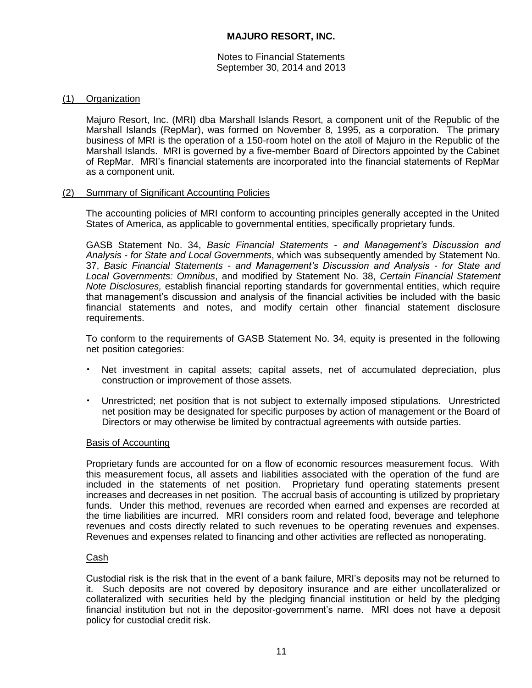Notes to Financial Statements September 30, 2014 and 2013

# (1) Organization

Majuro Resort, Inc. (MRI) dba Marshall Islands Resort, a component unit of the Republic of the Marshall Islands (RepMar), was formed on November 8, 1995, as a corporation. The primary business of MRI is the operation of a 150-room hotel on the atoll of Majuro in the Republic of the Marshall Islands. MRI is governed by a five-member Board of Directors appointed by the Cabinet of RepMar. MRI's financial statements are incorporated into the financial statements of RepMar as a component unit.

# (2) Summary of Significant Accounting Policies

The accounting policies of MRI conform to accounting principles generally accepted in the United States of America, as applicable to governmental entities, specifically proprietary funds.

GASB Statement No. 34, *Basic Financial Statements - and Management's Discussion and Analysis - for State and Local Governments*, which was subsequently amended by Statement No. 37, *Basic Financial Statements - and Management's Discussion and Analysis - for State and Local Governments: Omnibus*, and modified by Statement No. 38, *Certain Financial Statement Note Disclosures,* establish financial reporting standards for governmental entities, which require that management's discussion and analysis of the financial activities be included with the basic financial statements and notes, and modify certain other financial statement disclosure requirements.

To conform to the requirements of GASB Statement No. 34, equity is presented in the following net position categories:

- Net investment in capital assets; capital assets, net of accumulated depreciation, plus construction or improvement of those assets.
- Unrestricted; net position that is not subject to externally imposed stipulations. Unrestricted net position may be designated for specific purposes by action of management or the Board of Directors or may otherwise be limited by contractual agreements with outside parties.

# Basis of Accounting

Proprietary funds are accounted for on a flow of economic resources measurement focus. With this measurement focus, all assets and liabilities associated with the operation of the fund are included in the statements of net position. Proprietary fund operating statements present increases and decreases in net position. The accrual basis of accounting is utilized by proprietary funds. Under this method, revenues are recorded when earned and expenses are recorded at the time liabilities are incurred. MRI considers room and related food, beverage and telephone revenues and costs directly related to such revenues to be operating revenues and expenses. Revenues and expenses related to financing and other activities are reflected as nonoperating.

# Cash

Custodial risk is the risk that in the event of a bank failure, MRI's deposits may not be returned to it. Such deposits are not covered by depository insurance and are either uncollateralized or collateralized with securities held by the pledging financial institution or held by the pledging financial institution but not in the depositor-government's name. MRI does not have a deposit policy for custodial credit risk.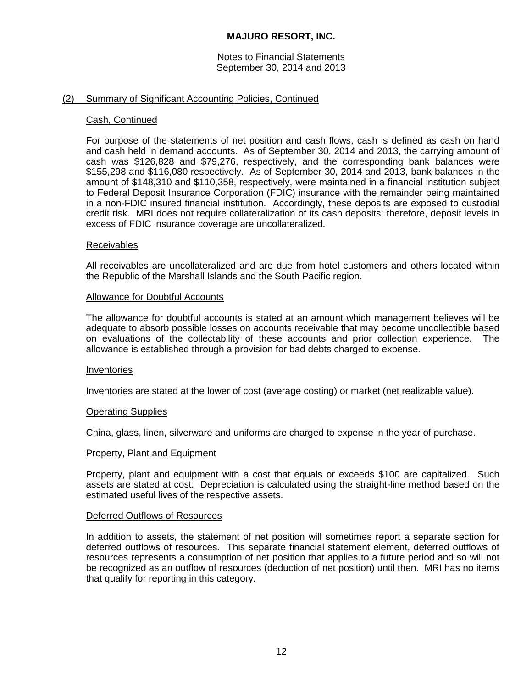Notes to Financial Statements September 30, 2014 and 2013

### (2) Summary of Significant Accounting Policies, Continued

### Cash, Continued

For purpose of the statements of net position and cash flows, cash is defined as cash on hand and cash held in demand accounts. As of September 30, 2014 and 2013, the carrying amount of cash was \$126,828 and \$79,276, respectively, and the corresponding bank balances were \$155,298 and \$116,080 respectively. As of September 30, 2014 and 2013, bank balances in the amount of \$148,310 and \$110,358, respectively, were maintained in a financial institution subject to Federal Deposit Insurance Corporation (FDIC) insurance with the remainder being maintained in a non-FDIC insured financial institution. Accordingly, these deposits are exposed to custodial credit risk. MRI does not require collateralization of its cash deposits; therefore, deposit levels in excess of FDIC insurance coverage are uncollateralized.

### **Receivables**

All receivables are uncollateralized and are due from hotel customers and others located within the Republic of the Marshall Islands and the South Pacific region.

#### Allowance for Doubtful Accounts

The allowance for doubtful accounts is stated at an amount which management believes will be adequate to absorb possible losses on accounts receivable that may become uncollectible based on evaluations of the collectability of these accounts and prior collection experience. The allowance is established through a provision for bad debts charged to expense.

### Inventories

Inventories are stated at the lower of cost (average costing) or market (net realizable value).

### Operating Supplies

China, glass, linen, silverware and uniforms are charged to expense in the year of purchase.

#### Property, Plant and Equipment

Property, plant and equipment with a cost that equals or exceeds \$100 are capitalized. Such assets are stated at cost. Depreciation is calculated using the straight-line method based on the estimated useful lives of the respective assets.

#### Deferred Outflows of Resources

In addition to assets, the statement of net position will sometimes report a separate section for deferred outflows of resources. This separate financial statement element, deferred outflows of resources represents a consumption of net position that applies to a future period and so will not be recognized as an outflow of resources (deduction of net position) until then. MRI has no items that qualify for reporting in this category.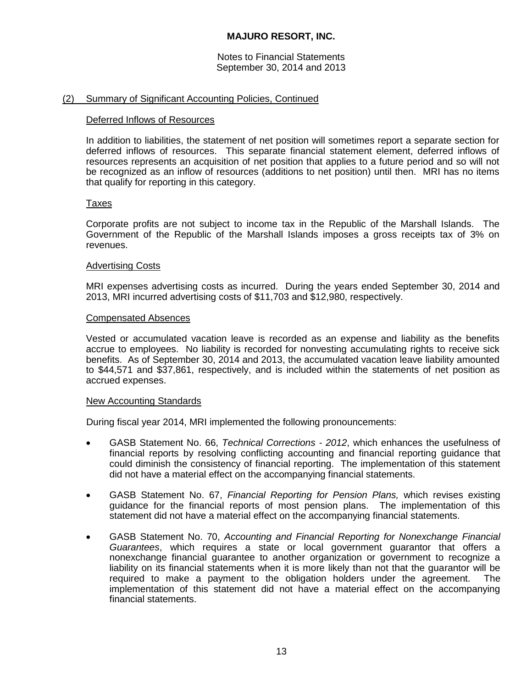Notes to Financial Statements September 30, 2014 and 2013

# (2) Summary of Significant Accounting Policies, Continued

# Deferred Inflows of Resources

In addition to liabilities, the statement of net position will sometimes report a separate section for deferred inflows of resources. This separate financial statement element, deferred inflows of resources represents an acquisition of net position that applies to a future period and so will not be recognized as an inflow of resources (additions to net position) until then. MRI has no items that qualify for reporting in this category.

# Taxes

Corporate profits are not subject to income tax in the Republic of the Marshall Islands. The Government of the Republic of the Marshall Islands imposes a gross receipts tax of 3% on revenues.

### Advertising Costs

MRI expenses advertising costs as incurred. During the years ended September 30, 2014 and 2013, MRI incurred advertising costs of \$11,703 and \$12,980, respectively.

### Compensated Absences

Vested or accumulated vacation leave is recorded as an expense and liability as the benefits accrue to employees. No liability is recorded for nonvesting accumulating rights to receive sick benefits. As of September 30, 2014 and 2013, the accumulated vacation leave liability amounted to \$44,571 and \$37,861, respectively, and is included within the statements of net position as accrued expenses.

### New Accounting Standards

During fiscal year 2014, MRI implemented the following pronouncements:

- GASB Statement No. 66, *Technical Corrections - 2012*, which enhances the usefulness of financial reports by resolving conflicting accounting and financial reporting guidance that could diminish the consistency of financial reporting. The implementation of this statement did not have a material effect on the accompanying financial statements.
- GASB Statement No. 67, *Financial Reporting for Pension Plans,* which revises existing guidance for the financial reports of most pension plans. The implementation of this statement did not have a material effect on the accompanying financial statements.
- GASB Statement No. 70, *Accounting and Financial Reporting for Nonexchange Financial Guarantees*, which requires a state or local government guarantor that offers a nonexchange financial guarantee to another organization or government to recognize a liability on its financial statements when it is more likely than not that the guarantor will be required to make a payment to the obligation holders under the agreement. The implementation of this statement did not have a material effect on the accompanying financial statements.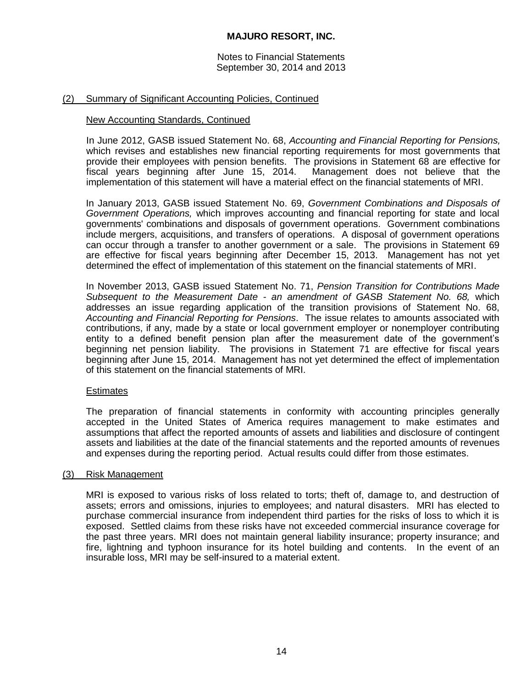Notes to Financial Statements September 30, 2014 and 2013

# (2) Summary of Significant Accounting Policies, Continued

### New Accounting Standards, Continued

In June 2012, GASB issued Statement No. 68, *Accounting and Financial Reporting for Pensions,*  which revises and establishes new financial reporting requirements for most governments that provide their employees with pension benefits. The provisions in Statement 68 are effective for fiscal years beginning after June 15, 2014. Management does not believe that the implementation of this statement will have a material effect on the financial statements of MRI.

In January 2013, GASB issued Statement No. 69, *Government Combinations and Disposals of Government Operations,* which improves accounting and financial reporting for state and local governments' combinations and disposals of government operations. Government combinations include mergers, acquisitions, and transfers of operations. A disposal of government operations can occur through a transfer to another government or a sale. The provisions in Statement 69 are effective for fiscal years beginning after December 15, 2013. Management has not yet determined the effect of implementation of this statement on the financial statements of MRI.

In November 2013, GASB issued Statement No. 71, *Pension Transition for Contributions Made Subsequent to the Measurement Date - an amendment of GASB Statement No. 68,* which addresses an issue regarding application of the transition provisions of Statement No. 68, *Accounting and Financial Reporting for Pensions*. The issue relates to amounts associated with contributions, if any, made by a state or local government employer or nonemployer contributing entity to a defined benefit pension plan after the measurement date of the government's beginning net pension liability. The provisions in Statement 71 are effective for fiscal years beginning after June 15, 2014. Management has not yet determined the effect of implementation of this statement on the financial statements of MRI.

# **Estimates**

The preparation of financial statements in conformity with accounting principles generally accepted in the United States of America requires management to make estimates and assumptions that affect the reported amounts of assets and liabilities and disclosure of contingent assets and liabilities at the date of the financial statements and the reported amounts of revenues and expenses during the reporting period. Actual results could differ from those estimates.

### (3) Risk Management

MRI is exposed to various risks of loss related to torts; theft of, damage to, and destruction of assets; errors and omissions, injuries to employees; and natural disasters. MRI has elected to purchase commercial insurance from independent third parties for the risks of loss to which it is exposed. Settled claims from these risks have not exceeded commercial insurance coverage for the past three years. MRI does not maintain general liability insurance; property insurance; and fire, lightning and typhoon insurance for its hotel building and contents. In the event of an insurable loss, MRI may be self-insured to a material extent.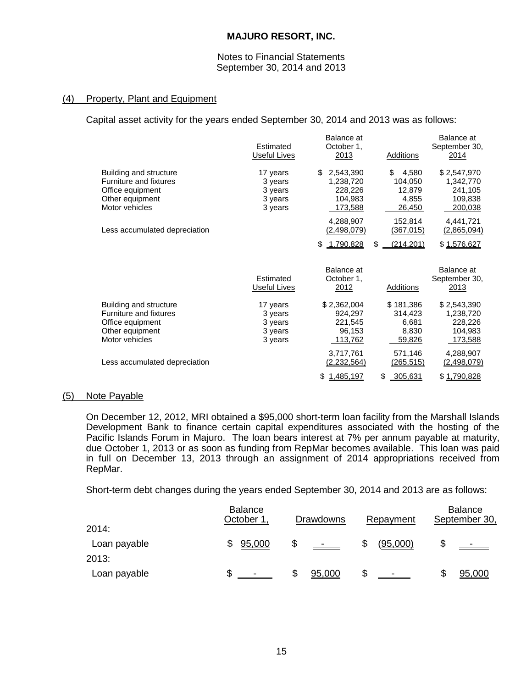### Notes to Financial Statements September 30, 2014 and 2013

# (4) Property, Plant and Equipment

Capital asset activity for the years ended September 30, 2014 and 2013 was as follows:

|                                                                                                                  | Estimated<br>Useful Lives                            | Balance at<br>October 1,<br>2013                              | Additions                                           | Balance at<br>September 30,<br>2014                              |
|------------------------------------------------------------------------------------------------------------------|------------------------------------------------------|---------------------------------------------------------------|-----------------------------------------------------|------------------------------------------------------------------|
| Building and structure<br>Furniture and fixtures<br>Office equipment<br>Other equipment<br>Motor vehicles        | 17 years<br>3 years<br>3 years<br>3 years<br>3 years | 2,543,390<br>\$<br>1,238,720<br>228,226<br>104,983<br>173,588 | 4,580<br>\$<br>104,050<br>12,879<br>4,855<br>26,450 | \$2,547,970<br>1,342,770<br>241,105<br>109,838<br>200,038        |
| Less accumulated depreciation                                                                                    |                                                      | 4,288,907<br>(2,498,079)                                      | 152,814<br><u>(367,015)</u>                         | 4,441,721<br>(2,865,094)                                         |
|                                                                                                                  |                                                      | 1,790,828<br>\$                                               | \$<br>(214, 201)                                    | \$1,576,627                                                      |
|                                                                                                                  | Estimated<br>Useful Lives                            | Balance at<br>October 1,<br>2012                              | <b>Additions</b>                                    | Balance at<br>September 30,<br>2013                              |
| Building and structure<br><b>Furniture and fixtures</b><br>Office equipment<br>Other equipment<br>Motor vehicles | 17 years<br>3 years<br>3 years<br>3 years<br>3 years | \$2,362,004<br>924,297<br>221,545<br>96,153<br>113,762        | \$181,386<br>314,423<br>6,681<br>8,830<br>59,826    | \$2,543,390<br>1,238,720<br>228,226<br>104,983<br><u>173,588</u> |
| Less accumulated depreciation                                                                                    |                                                      | 3,717,761<br>(2,232,564)                                      | 571,146<br><u>(265,515)</u>                         | 4,288,907<br><u>(2,498,079)</u>                                  |
|                                                                                                                  |                                                      | 1,485,197<br>\$                                               | \$<br>305,631                                       | \$1,790,828                                                      |

# (5) Note Payable

On December 12, 2012, MRI obtained a \$95,000 short-term loan facility from the Marshall Islands Development Bank to finance certain capital expenditures associated with the hosting of the Pacific Islands Forum in Majuro. The loan bears interest at 7% per annum payable at maturity, due October 1, 2013 or as soon as funding from RepMar becomes available. This loan was paid in full on December 13, 2013 through an assignment of 2014 appropriations received from RepMar.

Short-term debt changes during the years ended September 30, 2014 and 2013 are as follows:

| 2014:                 | <b>Balance</b><br>October 1 | <b>Drawdowns</b> | Repayment              | <b>Balance</b><br>September 30, |
|-----------------------|-----------------------------|------------------|------------------------|---------------------------------|
| Loan payable<br>2013: | 95,000<br>S                 | S<br>$\sim$ $-$  | (95,000)<br>\$         |                                 |
| Loan payable          |                             | 95,000           | \$<br>$\sim$ 100 $\mu$ | 95,000                          |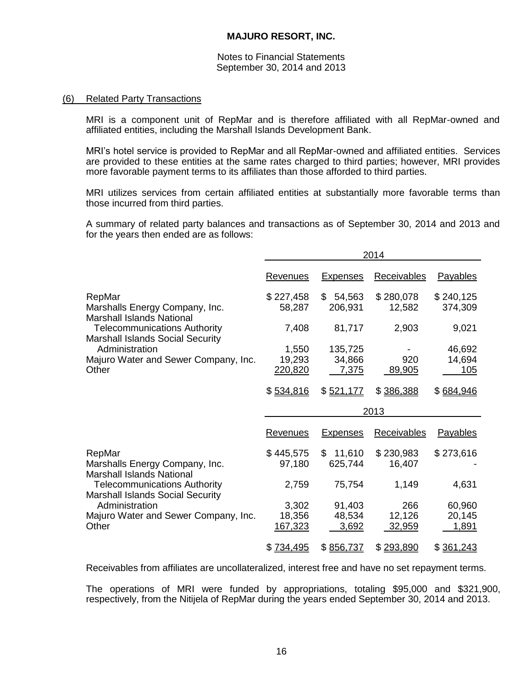Notes to Financial Statements September 30, 2014 and 2013

### (6) Related Party Transactions

MRI is a component unit of RepMar and is therefore affiliated with all RepMar-owned and affiliated entities, including the Marshall Islands Development Bank.

MRI's hotel service is provided to RepMar and all RepMar-owned and affiliated entities. Services are provided to these entities at the same rates charged to third parties; however, MRI provides more favorable payment terms to its affiliates than those afforded to third parties.

MRI utilizes services from certain affiliated entities at substantially more favorable terms than those incurred from third parties.

A summary of related party balances and transactions as of September 30, 2014 and 2013 and for the years then ended are as follows:

|                                                                                | 2014                |                         |                     |                      |  |  |
|--------------------------------------------------------------------------------|---------------------|-------------------------|---------------------|----------------------|--|--|
|                                                                                | <u>Revenues</u>     | <b>Expenses</b>         | <b>Receivables</b>  | <b>Payables</b>      |  |  |
| RepMar<br>Marshalls Energy Company, Inc.<br><b>Marshall Islands National</b>   | \$227,458<br>58,287 | \$<br>54,563<br>206,931 | \$280,078<br>12,582 | \$240,125<br>374,309 |  |  |
| <b>Telecommunications Authority</b><br><b>Marshall Islands Social Security</b> | 7,408               | 81,717                  | 2,903               | 9,021                |  |  |
| Administration                                                                 | 1,550               | 135,725                 |                     | 46,692               |  |  |
| Majuro Water and Sewer Company, Inc.                                           | 19,293              | 34,866                  | 920                 | 14,694               |  |  |
| Other                                                                          | 220,820             | 7,375                   | 89,905              | 105                  |  |  |
|                                                                                | \$534,816           | \$521,177               | \$386,388           | \$684,946            |  |  |
|                                                                                |                     |                         | 2013                |                      |  |  |
|                                                                                | Revenues            | <b>Expenses</b>         | <b>Receivables</b>  | <b>Payables</b>      |  |  |
| RepMar                                                                         | \$445,575           | $\mathbb{S}$<br>11,610  | \$230,983           | \$273,616            |  |  |
| Marshalls Energy Company, Inc.<br><b>Marshall Islands National</b>             | 97,180              | 625,744                 | 16,407              |                      |  |  |
| <b>Telecommunications Authority</b><br><b>Marshall Islands Social Security</b> | 2,759               | 75,754                  | 1,149               | 4,631                |  |  |
| Administration                                                                 | 3,302               | 91,403                  | 266                 | 60,960               |  |  |
| Majuro Water and Sewer Company, Inc.                                           | 18,356              | 48,534                  | 12,126              | 20,145               |  |  |
| Other                                                                          | 167,323             | 3,692                   | 32,959              | 1,891                |  |  |
|                                                                                | \$ 734,495          | \$856,737               | \$293,890           | \$361,243            |  |  |

Receivables from affiliates are uncollateralized, interest free and have no set repayment terms.

The operations of MRI were funded by appropriations, totaling \$95,000 and \$321,900, respectively, from the Nitijela of RepMar during the years ended September 30, 2014 and 2013.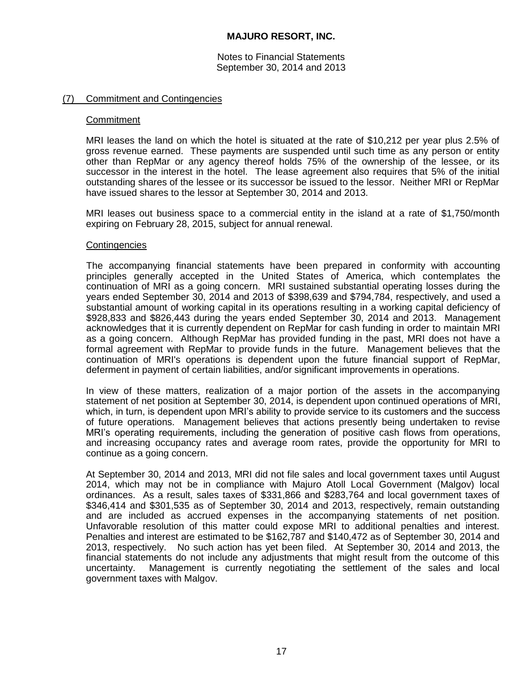Notes to Financial Statements September 30, 2014 and 2013

### (7) Commitment and Contingencies

### **Commitment**

MRI leases the land on which the hotel is situated at the rate of \$10,212 per year plus 2.5% of gross revenue earned. These payments are suspended until such time as any person or entity other than RepMar or any agency thereof holds 75% of the ownership of the lessee, or its successor in the interest in the hotel. The lease agreement also requires that 5% of the initial outstanding shares of the lessee or its successor be issued to the lessor. Neither MRI or RepMar have issued shares to the lessor at September 30, 2014 and 2013.

MRI leases out business space to a commercial entity in the island at a rate of \$1,750/month expiring on February 28, 2015, subject for annual renewal.

### **Contingencies**

The accompanying financial statements have been prepared in conformity with accounting principles generally accepted in the United States of America, which contemplates the continuation of MRI as a going concern. MRI sustained substantial operating losses during the years ended September 30, 2014 and 2013 of \$398,639 and \$794,784, respectively, and used a substantial amount of working capital in its operations resulting in a working capital deficiency of \$928,833 and \$826,443 during the years ended September 30, 2014 and 2013. Management acknowledges that it is currently dependent on RepMar for cash funding in order to maintain MRI as a going concern. Although RepMar has provided funding in the past, MRI does not have a formal agreement with RepMar to provide funds in the future. Management believes that the continuation of MRI's operations is dependent upon the future financial support of RepMar, deferment in payment of certain liabilities, and/or significant improvements in operations.

In view of these matters, realization of a major portion of the assets in the accompanying statement of net position at September 30, 2014, is dependent upon continued operations of MRI, which, in turn, is dependent upon MRI's ability to provide service to its customers and the success of future operations. Management believes that actions presently being undertaken to revise MRI's operating requirements, including the generation of positive cash flows from operations, and increasing occupancy rates and average room rates, provide the opportunity for MRI to continue as a going concern.

At September 30, 2014 and 2013, MRI did not file sales and local government taxes until August 2014, which may not be in compliance with Majuro Atoll Local Government (Malgov) local ordinances. As a result, sales taxes of \$331,866 and \$283,764 and local government taxes of \$346,414 and \$301,535 as of September 30, 2014 and 2013, respectively, remain outstanding and are included as accrued expenses in the accompanying statements of net position. Unfavorable resolution of this matter could expose MRI to additional penalties and interest. Penalties and interest are estimated to be \$162,787 and \$140,472 as of September 30, 2014 and 2013, respectively. No such action has yet been filed. At September 30, 2014 and 2013, the financial statements do not include any adjustments that might result from the outcome of this uncertainty. Management is currently negotiating the settlement of the sales and local government taxes with Malgov.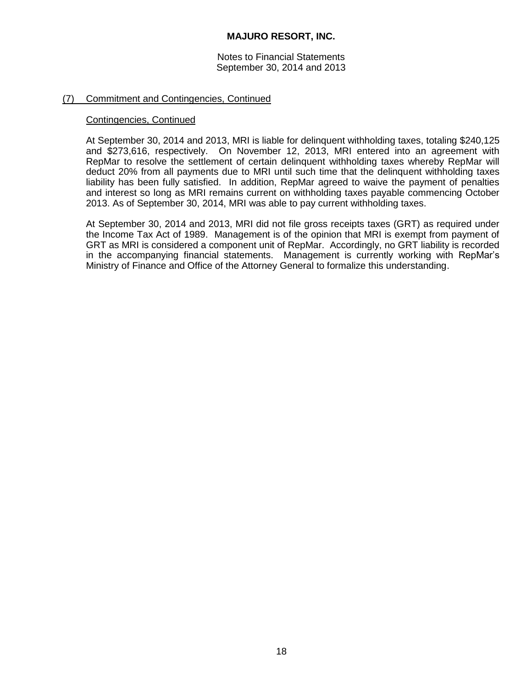Notes to Financial Statements September 30, 2014 and 2013

# (7) Commitment and Contingencies, Continued

### Contingencies, Continued

At September 30, 2014 and 2013, MRI is liable for delinquent withholding taxes, totaling \$240,125 and \$273,616, respectively. On November 12, 2013, MRI entered into an agreement with RepMar to resolve the settlement of certain delinquent withholding taxes whereby RepMar will deduct 20% from all payments due to MRI until such time that the delinquent withholding taxes liability has been fully satisfied. In addition, RepMar agreed to waive the payment of penalties and interest so long as MRI remains current on withholding taxes payable commencing October 2013. As of September 30, 2014, MRI was able to pay current withholding taxes.

At September 30, 2014 and 2013, MRI did not file gross receipts taxes (GRT) as required under the Income Tax Act of 1989. Management is of the opinion that MRI is exempt from payment of GRT as MRI is considered a component unit of RepMar. Accordingly, no GRT liability is recorded in the accompanying financial statements. Management is currently working with RepMar's Ministry of Finance and Office of the Attorney General to formalize this understanding.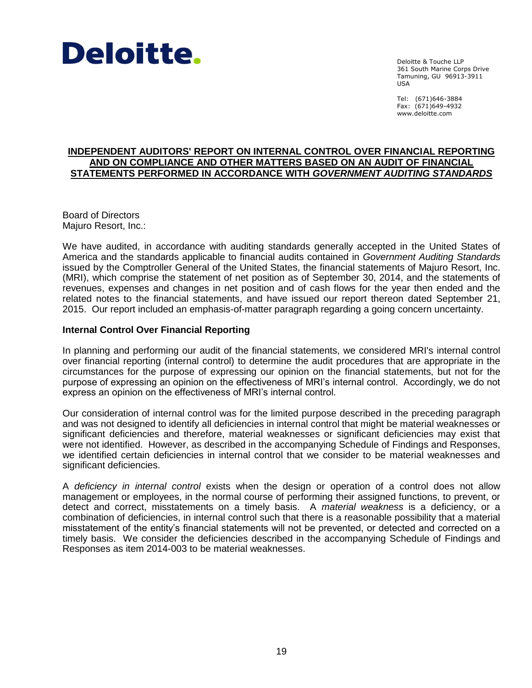

Deloitte & Touche LLP 361 South Marine Corps Drive Tamuning, GU 96913-3911 USA

Tel: (671)646-3884 Fax: (671)649-4932 www.deloitte.com

# **INDEPENDENT AUDITORS' REPORT ON INTERNAL CONTROL OVER FINANCIAL REPORTING AND ON COMPLIANCE AND OTHER MATTERS BASED ON AN AUDIT OF FINANCIAL STATEMENTS PERFORMED IN ACCORDANCE WITH** *GOVERNMENT AUDITING STANDARDS*

Board of Directors Majuro Resort, Inc.:

We have audited, in accordance with auditing standards generally accepted in the United States of America and the standards applicable to financial audits contained in *Government Auditing Standards* issued by the Comptroller General of the United States, the financial statements of Majuro Resort, Inc. (MRI), which comprise the statement of net position as of September 30, 2014, and the statements of revenues, expenses and changes in net position and of cash flows for the year then ended and the related notes to the financial statements, and have issued our report thereon dated September 21, 2015. Our report included an emphasis-of-matter paragraph regarding a going concern uncertainty.

# **Internal Control Over Financial Reporting**

In planning and performing our audit of the financial statements, we considered MRI's internal control over financial reporting (internal control) to determine the audit procedures that are appropriate in the circumstances for the purpose of expressing our opinion on the financial statements, but not for the purpose of expressing an opinion on the effectiveness of MRI's internal control. Accordingly, we do not express an opinion on the effectiveness of MRI's internal control.

Our consideration of internal control was for the limited purpose described in the preceding paragraph and was not designed to identify all deficiencies in internal control that might be material weaknesses or significant deficiencies and therefore, material weaknesses or significant deficiencies may exist that were not identified. However, as described in the accompanying Schedule of Findings and Responses, we identified certain deficiencies in internal control that we consider to be material weaknesses and significant deficiencies.

A *deficiency in internal control* exists when the design or operation of a control does not allow management or employees, in the normal course of performing their assigned functions, to prevent, or detect and correct, misstatements on a timely basis. A *material weakness* is a deficiency, or a combination of deficiencies, in internal control such that there is a reasonable possibility that a material misstatement of the entity's financial statements will not be prevented, or detected and corrected on a timely basis. We consider the deficiencies described in the accompanying Schedule of Findings and Responses as item 2014-003 to be material weaknesses.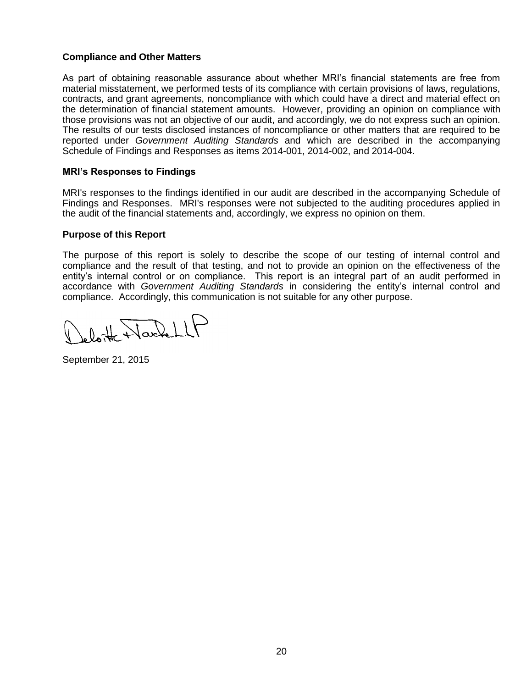# **Compliance and Other Matters**

As part of obtaining reasonable assurance about whether MRI's financial statements are free from material misstatement, we performed tests of its compliance with certain provisions of laws, regulations, contracts, and grant agreements, noncompliance with which could have a direct and material effect on the determination of financial statement amounts. However, providing an opinion on compliance with those provisions was not an objective of our audit, and accordingly, we do not express such an opinion. The results of our tests disclosed instances of noncompliance or other matters that are required to be reported under *Government Auditing Standards* and which are described in the accompanying Schedule of Findings and Responses as items 2014-001, 2014-002, and 2014-004.

# **MRI's Responses to Findings**

MRI's responses to the findings identified in our audit are described in the accompanying Schedule of Findings and Responses. MRI's responses were not subjected to the auditing procedures applied in the audit of the financial statements and, accordingly, we express no opinion on them.

# **Purpose of this Report**

The purpose of this report is solely to describe the scope of our testing of internal control and compliance and the result of that testing, and not to provide an opinion on the effectiveness of the entity's internal control or on compliance. This report is an integral part of an audit performed in accordance with *Government Auditing Standards* in considering the entity's internal control and compliance. Accordingly, this communication is not suitable for any other purpose.

loite Nachell

September 21, 2015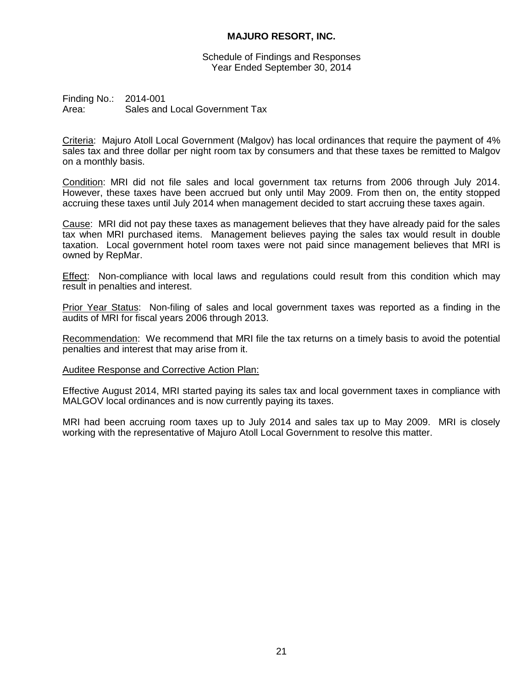Schedule of Findings and Responses Year Ended September 30, 2014

Finding No.: 2014-001 Area: Sales and Local Government Tax

Criteria: Majuro Atoll Local Government (Malgov) has local ordinances that require the payment of 4% sales tax and three dollar per night room tax by consumers and that these taxes be remitted to Malgov on a monthly basis.

Condition: MRI did not file sales and local government tax returns from 2006 through July 2014. However, these taxes have been accrued but only until May 2009. From then on, the entity stopped accruing these taxes until July 2014 when management decided to start accruing these taxes again.

Cause: MRI did not pay these taxes as management believes that they have already paid for the sales tax when MRI purchased items. Management believes paying the sales tax would result in double taxation. Local government hotel room taxes were not paid since management believes that MRI is owned by RepMar.

Effect: Non-compliance with local laws and regulations could result from this condition which may result in penalties and interest.

Prior Year Status: Non-filing of sales and local government taxes was reported as a finding in the audits of MRI for fiscal years 2006 through 2013.

Recommendation: We recommend that MRI file the tax returns on a timely basis to avoid the potential penalties and interest that may arise from it.

### Auditee Response and Corrective Action Plan:

Effective August 2014, MRI started paying its sales tax and local government taxes in compliance with MALGOV local ordinances and is now currently paying its taxes.

MRI had been accruing room taxes up to July 2014 and sales tax up to May 2009. MRI is closely working with the representative of Majuro Atoll Local Government to resolve this matter.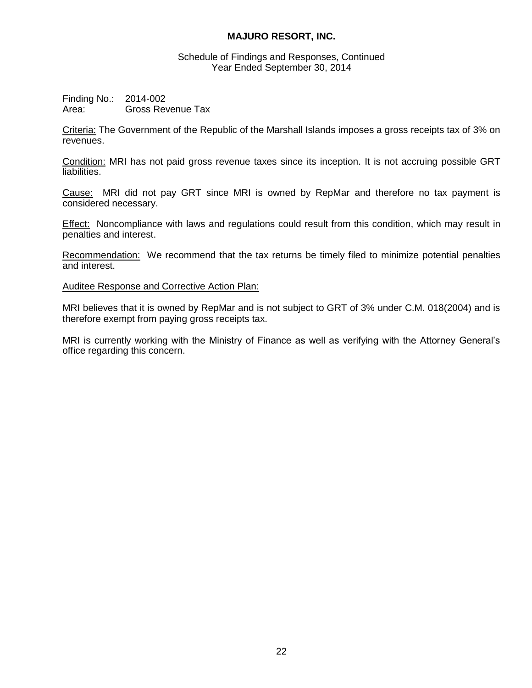Schedule of Findings and Responses, Continued Year Ended September 30, 2014

Finding No.: 2014-002 Area: Gross Revenue Tax

Criteria: The Government of the Republic of the Marshall Islands imposes a gross receipts tax of 3% on revenues.

Condition: MRI has not paid gross revenue taxes since its inception. It is not accruing possible GRT liabilities.

Cause: MRI did not pay GRT since MRI is owned by RepMar and therefore no tax payment is considered necessary.

**Effect:** Noncompliance with laws and regulations could result from this condition, which may result in penalties and interest.

Recommendation: We recommend that the tax returns be timely filed to minimize potential penalties and interest.

Auditee Response and Corrective Action Plan:

MRI believes that it is owned by RepMar and is not subject to GRT of 3% under C.M. 018(2004) and is therefore exempt from paying gross receipts tax.

MRI is currently working with the Ministry of Finance as well as verifying with the Attorney General's office regarding this concern.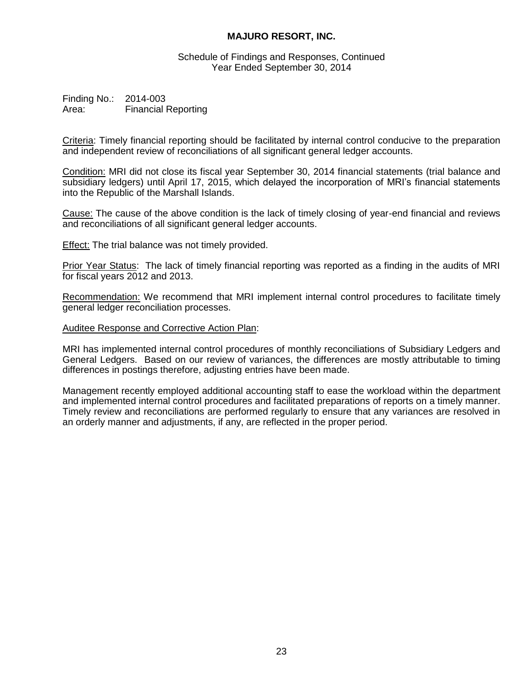Schedule of Findings and Responses, Continued Year Ended September 30, 2014

Finding No.: 2014-003 Area: Financial Reporting

Criteria: Timely financial reporting should be facilitated by internal control conducive to the preparation and independent review of reconciliations of all significant general ledger accounts.

Condition: MRI did not close its fiscal year September 30, 2014 financial statements (trial balance and subsidiary ledgers) until April 17, 2015, which delayed the incorporation of MRI's financial statements into the Republic of the Marshall Islands.

Cause: The cause of the above condition is the lack of timely closing of year-end financial and reviews and reconciliations of all significant general ledger accounts.

Effect: The trial balance was not timely provided.

Prior Year Status: The lack of timely financial reporting was reported as a finding in the audits of MRI for fiscal years 2012 and 2013.

Recommendation: We recommend that MRI implement internal control procedures to facilitate timely general ledger reconciliation processes.

### Auditee Response and Corrective Action Plan:

MRI has implemented internal control procedures of monthly reconciliations of Subsidiary Ledgers and General Ledgers. Based on our review of variances, the differences are mostly attributable to timing differences in postings therefore, adjusting entries have been made.

Management recently employed additional accounting staff to ease the workload within the department and implemented internal control procedures and facilitated preparations of reports on a timely manner. Timely review and reconciliations are performed regularly to ensure that any variances are resolved in an orderly manner and adjustments, if any, are reflected in the proper period.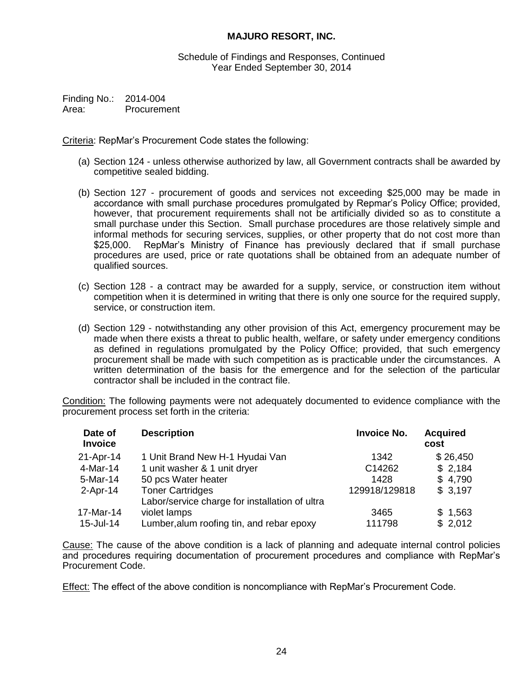Schedule of Findings and Responses, Continued Year Ended September 30, 2014

Finding No.: 2014-004 Area: Procurement

Criteria: RepMar's Procurement Code states the following:

- (a) Section 124 unless otherwise authorized by law, all Government contracts shall be awarded by competitive sealed bidding.
- (b) Section 127 procurement of goods and services not exceeding \$25,000 may be made in accordance with small purchase procedures promulgated by Repmar's Policy Office; provided, however, that procurement requirements shall not be artificially divided so as to constitute a small purchase under this Section. Small purchase procedures are those relatively simple and informal methods for securing services, supplies, or other property that do not cost more than \$25,000. RepMar's Ministry of Finance has previously declared that if small purchase procedures are used, price or rate quotations shall be obtained from an adequate number of qualified sources.
- (c) Section 128 a contract may be awarded for a supply, service, or construction item without competition when it is determined in writing that there is only one source for the required supply, service, or construction item.
- (d) Section 129 notwithstanding any other provision of this Act, emergency procurement may be made when there exists a threat to public health, welfare, or safety under emergency conditions as defined in regulations promulgated by the Policy Office; provided, that such emergency procurement shall be made with such competition as is practicable under the circumstances. A written determination of the basis for the emergence and for the selection of the particular contractor shall be included in the contract file.

Condition: The following payments were not adequately documented to evidence compliance with the procurement process set forth in the criteria:

| Date of<br><b>Invoice</b> | <b>Description</b>                             | <b>Invoice No.</b> | <b>Acquired</b><br>cost |
|---------------------------|------------------------------------------------|--------------------|-------------------------|
| 21-Apr-14                 | 1 Unit Brand New H-1 Hyudai Van                | 1342               | \$26,450                |
| 4-Mar-14                  | 1 unit washer & 1 unit dryer                   | C14262             | \$2,184                 |
| 5-Mar-14                  | 50 pcs Water heater                            | 1428               | \$4,790                 |
| $2-Apr-14$                | <b>Toner Cartridges</b>                        | 129918/129818      | \$3,197                 |
|                           | Labor/service charge for installation of ultra |                    |                         |
| 17-Mar-14                 | violet lamps                                   | 3465               | \$1,563                 |
| 15-Jul-14                 | Lumber, alum roofing tin, and rebar epoxy      | 111798             | \$2,012                 |

Cause: The cause of the above condition is a lack of planning and adequate internal control policies and procedures requiring documentation of procurement procedures and compliance with RepMar's Procurement Code.

Effect: The effect of the above condition is noncompliance with RepMar's Procurement Code.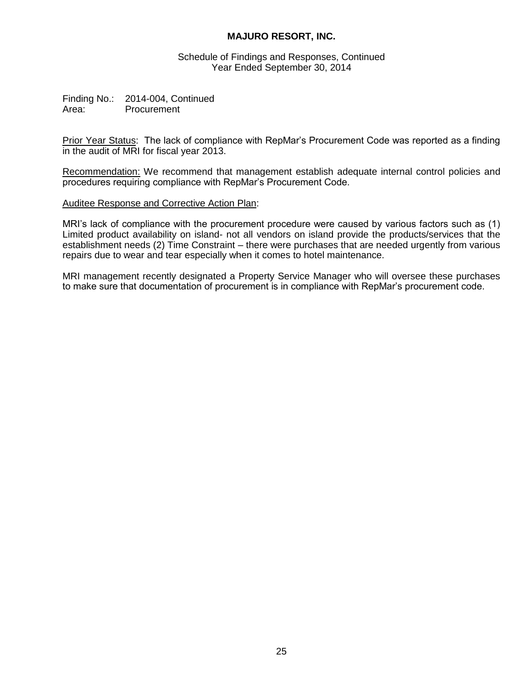Schedule of Findings and Responses, Continued Year Ended September 30, 2014

Finding No.: 2014-004, Continued Area: Procurement

Prior Year Status: The lack of compliance with RepMar's Procurement Code was reported as a finding in the audit of MRI for fiscal year 2013.

Recommendation: We recommend that management establish adequate internal control policies and procedures requiring compliance with RepMar's Procurement Code.

### Auditee Response and Corrective Action Plan:

MRI's lack of compliance with the procurement procedure were caused by various factors such as (1) Limited product availability on island- not all vendors on island provide the products/services that the establishment needs (2) Time Constraint – there were purchases that are needed urgently from various repairs due to wear and tear especially when it comes to hotel maintenance.

MRI management recently designated a Property Service Manager who will oversee these purchases to make sure that documentation of procurement is in compliance with RepMar's procurement code.